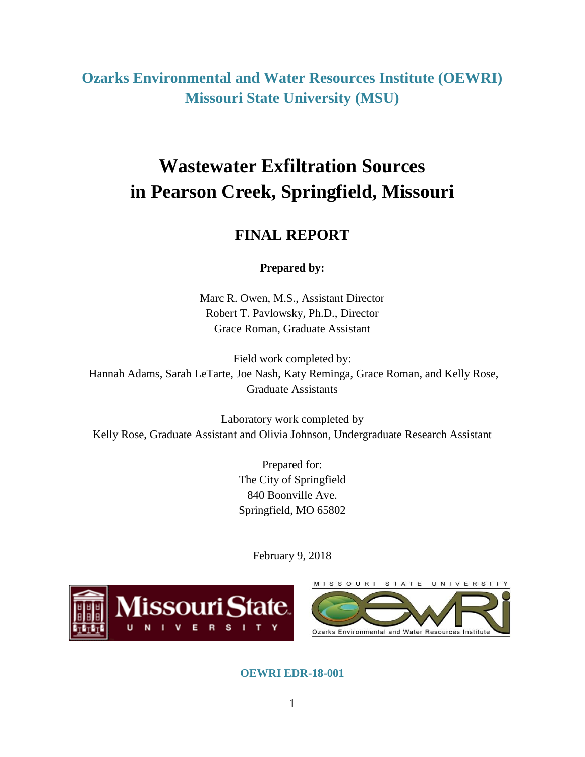**Ozarks Environmental and Water Resources Institute (OEWRI) Missouri State University (MSU)**

# **Wastewater Exfiltration Sources in Pearson Creek, Springfield, Missouri**

# **FINAL REPORT**

**Prepared by:**

Marc R. Owen, M.S., Assistant Director Robert T. Pavlowsky, Ph.D., Director Grace Roman, Graduate Assistant

Field work completed by: Hannah Adams, Sarah LeTarte, Joe Nash, Katy Reminga, Grace Roman, and Kelly Rose, Graduate Assistants

Laboratory work completed by Kelly Rose, Graduate Assistant and Olivia Johnson, Undergraduate Research Assistant

> Prepared for: The City of Springfield 840 Boonville Ave. Springfield, MO 65802

> > February 9, 2018



**OEWRI EDR-18-001**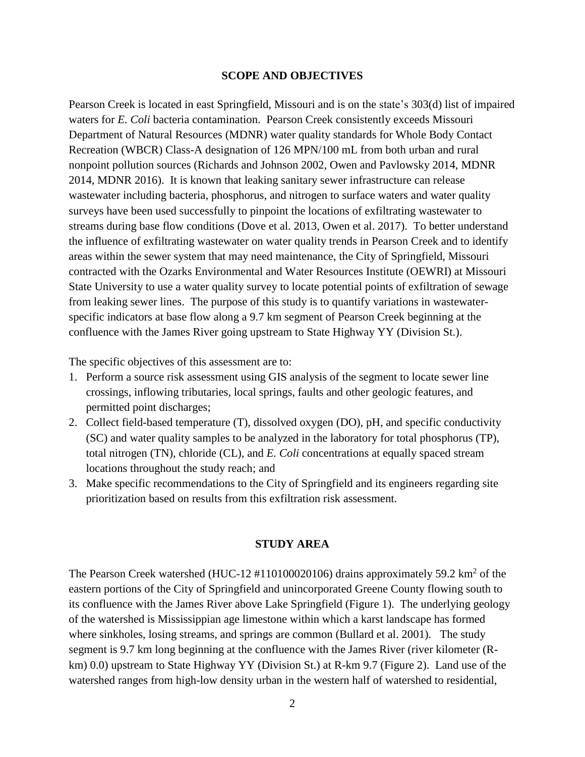#### **SCOPE AND OBJECTIVES**

Pearson Creek is located in east Springfield, Missouri and is on the state's 303(d) list of impaired waters for *E. Coli* bacteria contamination. Pearson Creek consistently exceeds Missouri Department of Natural Resources (MDNR) water quality standards for Whole Body Contact Recreation (WBCR) Class-A designation of 126 MPN/100 mL from both urban and rural nonpoint pollution sources (Richards and Johnson 2002, Owen and Pavlowsky 2014, MDNR 2014, MDNR 2016). It is known that leaking sanitary sewer infrastructure can release wastewater including bacteria, phosphorus, and nitrogen to surface waters and water quality surveys have been used successfully to pinpoint the locations of exfiltrating wastewater to streams during base flow conditions (Dove et al. 2013, Owen et al. 2017). To better understand the influence of exfiltrating wastewater on water quality trends in Pearson Creek and to identify areas within the sewer system that may need maintenance, the City of Springfield, Missouri contracted with the Ozarks Environmental and Water Resources Institute (OEWRI) at Missouri State University to use a water quality survey to locate potential points of exfiltration of sewage from leaking sewer lines. The purpose of this study is to quantify variations in wastewaterspecific indicators at base flow along a 9.7 km segment of Pearson Creek beginning at the confluence with the James River going upstream to State Highway YY (Division St.).

The specific objectives of this assessment are to:

- 1. Perform a source risk assessment using GIS analysis of the segment to locate sewer line crossings, inflowing tributaries, local springs, faults and other geologic features, and permitted point discharges;
- 2. Collect field-based temperature (T), dissolved oxygen (DO), pH, and specific conductivity (SC) and water quality samples to be analyzed in the laboratory for total phosphorus (TP), total nitrogen (TN), chloride (CL), and *E. Coli* concentrations at equally spaced stream locations throughout the study reach; and
- 3. Make specific recommendations to the City of Springfield and its engineers regarding site prioritization based on results from this exfiltration risk assessment.

### **STUDY AREA**

The Pearson Creek watershed (HUC-12  $\#110100020106$ ) drains approximately 59.2 km<sup>2</sup> of the eastern portions of the City of Springfield and unincorporated Greene County flowing south to its confluence with the James River above Lake Springfield (Figure 1). The underlying geology of the watershed is Mississippian age limestone within which a karst landscape has formed where sinkholes, losing streams, and springs are common (Bullard et al. 2001). The study segment is 9.7 km long beginning at the confluence with the James River (river kilometer (Rkm) 0.0) upstream to State Highway YY (Division St.) at R-km 9.7 (Figure 2). Land use of the watershed ranges from high-low density urban in the western half of watershed to residential,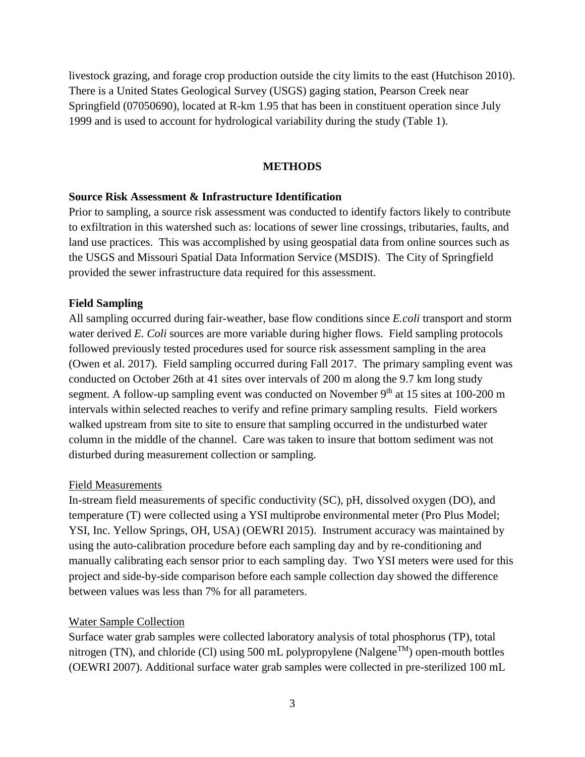livestock grazing, and forage crop production outside the city limits to the east (Hutchison 2010). There is a United States Geological Survey (USGS) gaging station, Pearson Creek near Springfield (07050690), located at R-km 1.95 that has been in constituent operation since July 1999 and is used to account for hydrological variability during the study (Table 1).

# **METHODS**

#### **Source Risk Assessment & Infrastructure Identification**

Prior to sampling, a source risk assessment was conducted to identify factors likely to contribute to exfiltration in this watershed such as: locations of sewer line crossings, tributaries, faults, and land use practices. This was accomplished by using geospatial data from online sources such as the USGS and Missouri Spatial Data Information Service (MSDIS). The City of Springfield provided the sewer infrastructure data required for this assessment.

#### **Field Sampling**

All sampling occurred during fair-weather, base flow conditions since *E.coli* transport and storm water derived *E. Coli* sources are more variable during higher flows. Field sampling protocols followed previously tested procedures used for source risk assessment sampling in the area (Owen et al. 2017). Field sampling occurred during Fall 2017. The primary sampling event was conducted on October 26th at 41 sites over intervals of 200 m along the 9.7 km long study segment. A follow-up sampling event was conducted on November 9<sup>th</sup> at 15 sites at 100-200 m intervals within selected reaches to verify and refine primary sampling results. Field workers walked upstream from site to site to ensure that sampling occurred in the undisturbed water column in the middle of the channel. Care was taken to insure that bottom sediment was not disturbed during measurement collection or sampling.

#### Field Measurements

In-stream field measurements of specific conductivity (SC), pH, dissolved oxygen (DO), and temperature (T) were collected using a YSI multiprobe environmental meter (Pro Plus Model; YSI, Inc. Yellow Springs, OH, USA) (OEWRI 2015). Instrument accuracy was maintained by using the auto-calibration procedure before each sampling day and by re-conditioning and manually calibrating each sensor prior to each sampling day. Two YSI meters were used for this project and side-by-side comparison before each sample collection day showed the difference between values was less than 7% for all parameters.

#### Water Sample Collection

Surface water grab samples were collected laboratory analysis of total phosphorus (TP), total nitrogen (TN), and chloride (Cl) using 500 mL polypropylene (Nalgene<sup>TM</sup>) open-mouth bottles (OEWRI 2007). Additional surface water grab samples were collected in pre-sterilized 100 mL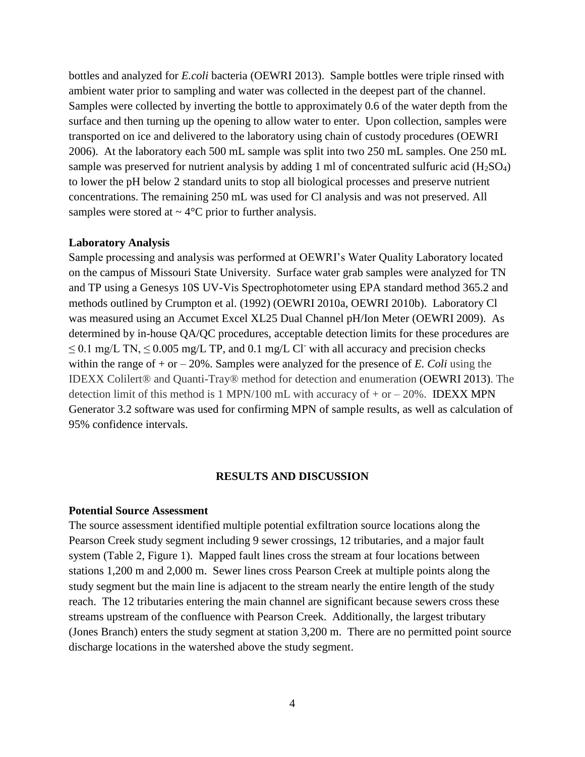bottles and analyzed for *E.coli* bacteria (OEWRI 2013). Sample bottles were triple rinsed with ambient water prior to sampling and water was collected in the deepest part of the channel. Samples were collected by inverting the bottle to approximately 0.6 of the water depth from the surface and then turning up the opening to allow water to enter. Upon collection, samples were transported on ice and delivered to the laboratory using chain of custody procedures (OEWRI 2006). At the laboratory each 500 mL sample was split into two 250 mL samples. One 250 mL sample was preserved for nutrient analysis by adding 1 ml of concentrated sulfuric acid (H<sub>2</sub>SO<sub>4</sub>) to lower the pH below 2 standard units to stop all biological processes and preserve nutrient concentrations. The remaining 250 mL was used for Cl analysis and was not preserved. All samples were stored at  $\sim$  4 $\degree$ C prior to further analysis.

#### **Laboratory Analysis**

Sample processing and analysis was performed at OEWRI's Water Quality Laboratory located on the campus of Missouri State University. Surface water grab samples were analyzed for TN and TP using a Genesys 10S UV-Vis Spectrophotometer using EPA standard method 365.2 and methods outlined by Crumpton et al. (1992) (OEWRI 2010a, OEWRI 2010b). Laboratory Cl was measured using an Accumet Excel XL25 Dual Channel pH/Ion Meter (OEWRI 2009). As determined by in-house QA/QC procedures, acceptable detection limits for these procedures are  $\leq$  0.1 mg/L TN,  $\leq$  0.005 mg/L TP, and 0.1 mg/L Cl with all accuracy and precision checks within the range of  $+$  or  $-$  20%. Samples were analyzed for the presence of *E*. *Coli* using the IDEXX Colilert® and Quanti-Tray® method for detection and enumeration (OEWRI 2013). The detection limit of this method is 1 MPN/100 mL with accuracy of  $+$  or  $-$  20%. IDEXX MPN Generator 3.2 software was used for confirming MPN of sample results, as well as calculation of 95% confidence intervals.

#### **RESULTS AND DISCUSSION**

### **Potential Source Assessment**

The source assessment identified multiple potential exfiltration source locations along the Pearson Creek study segment including 9 sewer crossings, 12 tributaries, and a major fault system (Table 2, Figure 1). Mapped fault lines cross the stream at four locations between stations 1,200 m and 2,000 m. Sewer lines cross Pearson Creek at multiple points along the study segment but the main line is adjacent to the stream nearly the entire length of the study reach. The 12 tributaries entering the main channel are significant because sewers cross these streams upstream of the confluence with Pearson Creek. Additionally, the largest tributary (Jones Branch) enters the study segment at station 3,200 m. There are no permitted point source discharge locations in the watershed above the study segment.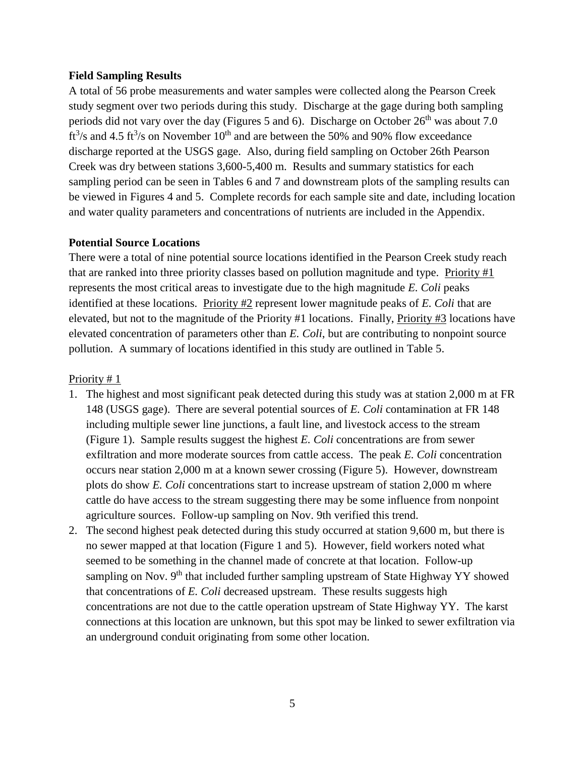# **Field Sampling Results**

A total of 56 probe measurements and water samples were collected along the Pearson Creek study segment over two periods during this study. Discharge at the gage during both sampling periods did not vary over the day (Figures 5 and 6). Discharge on October  $26<sup>th</sup>$  was about 7.0 ft<sup>3</sup>/s and 4.5 ft<sup>3</sup>/s on November 10<sup>th</sup> and are between the 50% and 90% flow exceedance discharge reported at the USGS gage. Also, during field sampling on October 26th Pearson Creek was dry between stations 3,600-5,400 m. Results and summary statistics for each sampling period can be seen in Tables 6 and 7 and downstream plots of the sampling results can be viewed in Figures 4 and 5. Complete records for each sample site and date, including location and water quality parameters and concentrations of nutrients are included in the Appendix.

## **Potential Source Locations**

There were a total of nine potential source locations identified in the Pearson Creek study reach that are ranked into three priority classes based on pollution magnitude and type. Priority  $#1$ represents the most critical areas to investigate due to the high magnitude *E. Coli* peaks identified at these locations. Priority #2 represent lower magnitude peaks of *E. Coli* that are elevated, but not to the magnitude of the Priority #1 locations. Finally, Priority #3 locations have elevated concentration of parameters other than *E. Coli*, but are contributing to nonpoint source pollution. A summary of locations identified in this study are outlined in Table 5.

# Priority # 1

- 1. The highest and most significant peak detected during this study was at station 2,000 m at FR 148 (USGS gage). There are several potential sources of *E. Coli* contamination at FR 148 including multiple sewer line junctions, a fault line, and livestock access to the stream (Figure 1). Sample results suggest the highest *E. Coli* concentrations are from sewer exfiltration and more moderate sources from cattle access. The peak *E. Coli* concentration occurs near station 2,000 m at a known sewer crossing (Figure 5). However, downstream plots do show *E. Coli* concentrations start to increase upstream of station 2,000 m where cattle do have access to the stream suggesting there may be some influence from nonpoint agriculture sources. Follow-up sampling on Nov. 9th verified this trend.
- 2. The second highest peak detected during this study occurred at station 9,600 m, but there is no sewer mapped at that location (Figure 1 and 5). However, field workers noted what seemed to be something in the channel made of concrete at that location. Follow-up sampling on Nov.  $9<sup>th</sup>$  that included further sampling upstream of State Highway YY showed that concentrations of *E. Coli* decreased upstream. These results suggests high concentrations are not due to the cattle operation upstream of State Highway YY. The karst connections at this location are unknown, but this spot may be linked to sewer exfiltration via an underground conduit originating from some other location.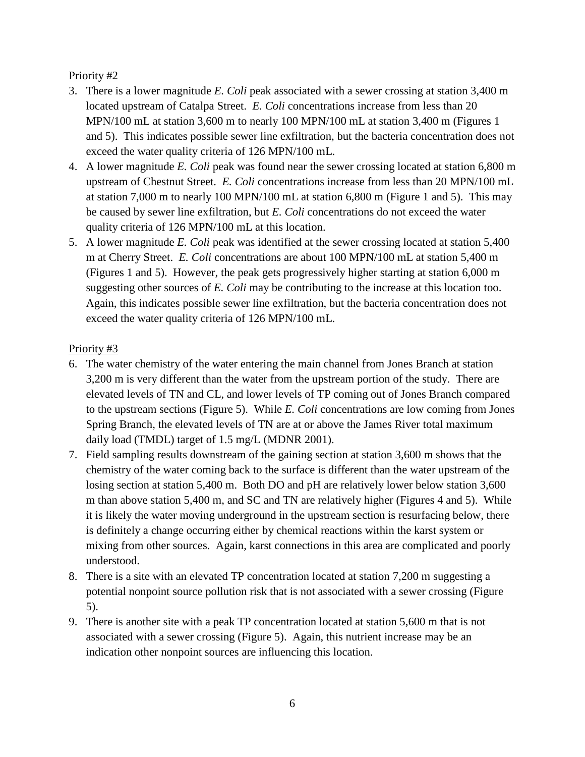# Priority #2

- 3. There is a lower magnitude *E. Coli* peak associated with a sewer crossing at station 3,400 m located upstream of Catalpa Street. *E. Coli* concentrations increase from less than 20 MPN/100 mL at station 3,600 m to nearly 100 MPN/100 mL at station 3,400 m (Figures 1 and 5). This indicates possible sewer line exfiltration, but the bacteria concentration does not exceed the water quality criteria of 126 MPN/100 mL.
- 4. A lower magnitude *E. Coli* peak was found near the sewer crossing located at station 6,800 m upstream of Chestnut Street. *E. Coli* concentrations increase from less than 20 MPN/100 mL at station 7,000 m to nearly 100 MPN/100 mL at station 6,800 m (Figure 1 and 5). This may be caused by sewer line exfiltration, but *E. Coli* concentrations do not exceed the water quality criteria of 126 MPN/100 mL at this location.
- 5. A lower magnitude *E. Coli* peak was identified at the sewer crossing located at station 5,400 m at Cherry Street. *E. Coli* concentrations are about 100 MPN/100 mL at station 5,400 m (Figures 1 and 5). However, the peak gets progressively higher starting at station 6,000 m suggesting other sources of *E. Coli* may be contributing to the increase at this location too. Again, this indicates possible sewer line exfiltration, but the bacteria concentration does not exceed the water quality criteria of 126 MPN/100 mL.

# Priority #3

- 6. The water chemistry of the water entering the main channel from Jones Branch at station 3,200 m is very different than the water from the upstream portion of the study. There are elevated levels of TN and CL, and lower levels of TP coming out of Jones Branch compared to the upstream sections (Figure 5). While *E. Coli* concentrations are low coming from Jones Spring Branch, the elevated levels of TN are at or above the James River total maximum daily load (TMDL) target of 1.5 mg/L (MDNR 2001).
- 7. Field sampling results downstream of the gaining section at station 3,600 m shows that the chemistry of the water coming back to the surface is different than the water upstream of the losing section at station 5,400 m. Both DO and pH are relatively lower below station 3,600 m than above station 5,400 m, and SC and TN are relatively higher (Figures 4 and 5). While it is likely the water moving underground in the upstream section is resurfacing below, there is definitely a change occurring either by chemical reactions within the karst system or mixing from other sources. Again, karst connections in this area are complicated and poorly understood.
- 8. There is a site with an elevated TP concentration located at station 7,200 m suggesting a potential nonpoint source pollution risk that is not associated with a sewer crossing (Figure 5).
- 9. There is another site with a peak TP concentration located at station 5,600 m that is not associated with a sewer crossing (Figure 5). Again, this nutrient increase may be an indication other nonpoint sources are influencing this location.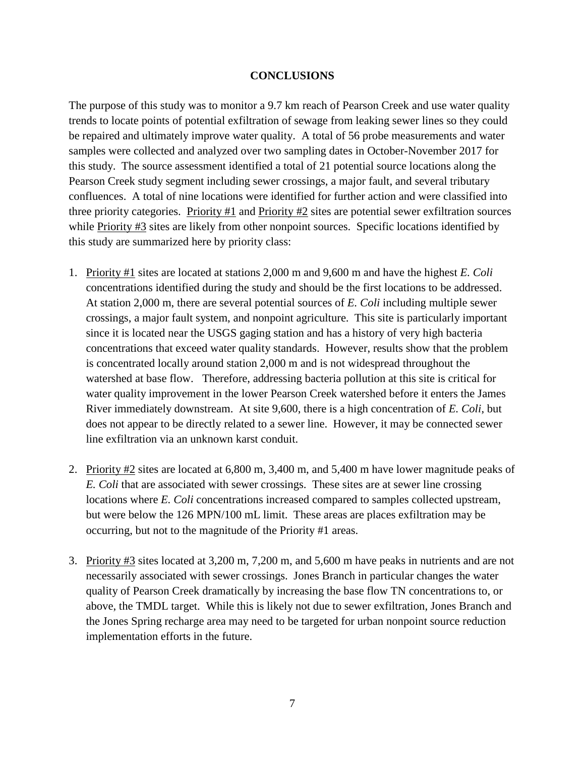# **CONCLUSIONS**

The purpose of this study was to monitor a 9.7 km reach of Pearson Creek and use water quality trends to locate points of potential exfiltration of sewage from leaking sewer lines so they could be repaired and ultimately improve water quality. A total of 56 probe measurements and water samples were collected and analyzed over two sampling dates in October-November 2017 for this study. The source assessment identified a total of 21 potential source locations along the Pearson Creek study segment including sewer crossings, a major fault, and several tributary confluences. A total of nine locations were identified for further action and were classified into three priority categories. Priority #1 and Priority #2 sites are potential sewer exfiltration sources while Priority #3 sites are likely from other nonpoint sources. Specific locations identified by this study are summarized here by priority class:

- 1. Priority #1 sites are located at stations 2,000 m and 9,600 m and have the highest *E. Coli* concentrations identified during the study and should be the first locations to be addressed. At station 2,000 m, there are several potential sources of *E. Coli* including multiple sewer crossings, a major fault system, and nonpoint agriculture. This site is particularly important since it is located near the USGS gaging station and has a history of very high bacteria concentrations that exceed water quality standards. However, results show that the problem is concentrated locally around station 2,000 m and is not widespread throughout the watershed at base flow. Therefore, addressing bacteria pollution at this site is critical for water quality improvement in the lower Pearson Creek watershed before it enters the James River immediately downstream. At site 9,600, there is a high concentration of *E. Coli*, but does not appear to be directly related to a sewer line. However, it may be connected sewer line exfiltration via an unknown karst conduit.
- 2. Priority #2 sites are located at 6,800 m, 3,400 m, and 5,400 m have lower magnitude peaks of *E. Coli* that are associated with sewer crossings. These sites are at sewer line crossing locations where *E. Coli* concentrations increased compared to samples collected upstream, but were below the 126 MPN/100 mL limit. These areas are places exfiltration may be occurring, but not to the magnitude of the Priority #1 areas.
- 3. Priority #3 sites located at 3,200 m, 7,200 m, and 5,600 m have peaks in nutrients and are not necessarily associated with sewer crossings. Jones Branch in particular changes the water quality of Pearson Creek dramatically by increasing the base flow TN concentrations to, or above, the TMDL target. While this is likely not due to sewer exfiltration, Jones Branch and the Jones Spring recharge area may need to be targeted for urban nonpoint source reduction implementation efforts in the future.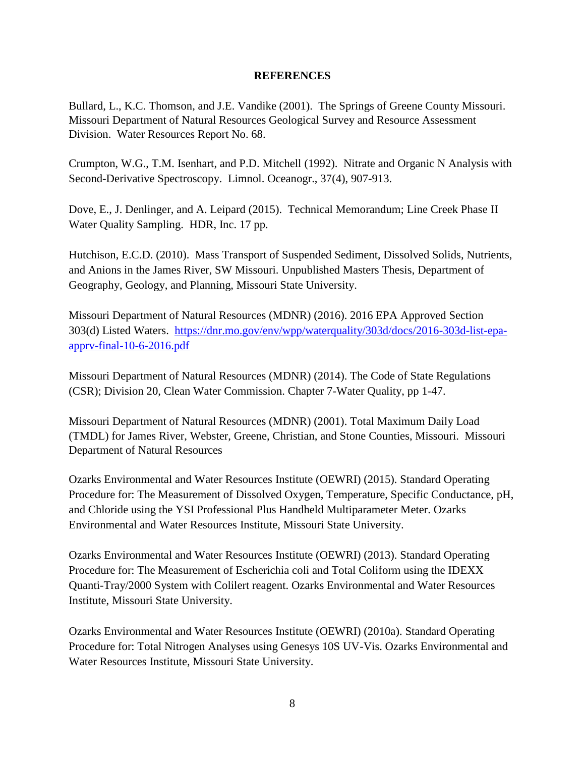# **REFERENCES**

Bullard, L., K.C. Thomson, and J.E. Vandike (2001). The Springs of Greene County Missouri. Missouri Department of Natural Resources Geological Survey and Resource Assessment Division. Water Resources Report No. 68.

Crumpton, W.G., T.M. Isenhart, and P.D. Mitchell (1992). Nitrate and Organic N Analysis with Second-Derivative Spectroscopy. Limnol. Oceanogr., 37(4), 907-913.

Dove, E., J. Denlinger, and A. Leipard (2015). Technical Memorandum; Line Creek Phase II Water Quality Sampling. HDR, Inc. 17 pp.

Hutchison, E.C.D. (2010). Mass Transport of Suspended Sediment, Dissolved Solids, Nutrients, and Anions in the James River, SW Missouri. Unpublished Masters Thesis, Department of Geography, Geology, and Planning, Missouri State University.

Missouri Department of Natural Resources (MDNR) (2016). 2016 EPA Approved Section 303(d) Listed Waters. [https://dnr.mo.gov/env/wpp/waterquality/303d/docs/2016-303d-list-epa](https://dnr.mo.gov/env/wpp/waterquality/303d/docs/2016-303d-list-epa-apprv-final-10-6-2016.pdf)[apprv-final-10-6-2016.pdf](https://dnr.mo.gov/env/wpp/waterquality/303d/docs/2016-303d-list-epa-apprv-final-10-6-2016.pdf)

Missouri Department of Natural Resources (MDNR) (2014). The Code of State Regulations (CSR); Division 20, Clean Water Commission. Chapter 7-Water Quality, pp 1-47.

Missouri Department of Natural Resources (MDNR) (2001). Total Maximum Daily Load (TMDL) for James River, Webster, Greene, Christian, and Stone Counties, Missouri. Missouri Department of Natural Resources

Ozarks Environmental and Water Resources Institute (OEWRI) (2015). Standard Operating Procedure for: The Measurement of Dissolved Oxygen, Temperature, Specific Conductance, pH, and Chloride using the YSI Professional Plus Handheld Multiparameter Meter. Ozarks Environmental and Water Resources Institute, Missouri State University.

Ozarks Environmental and Water Resources Institute (OEWRI) (2013). Standard Operating Procedure for: The Measurement of Escherichia coli and Total Coliform using the IDEXX Quanti-Tray/2000 System with Colilert reagent. Ozarks Environmental and Water Resources Institute, Missouri State University.

Ozarks Environmental and Water Resources Institute (OEWRI) (2010a). Standard Operating Procedure for: Total Nitrogen Analyses using Genesys 10S UV-Vis. Ozarks Environmental and Water Resources Institute, Missouri State University.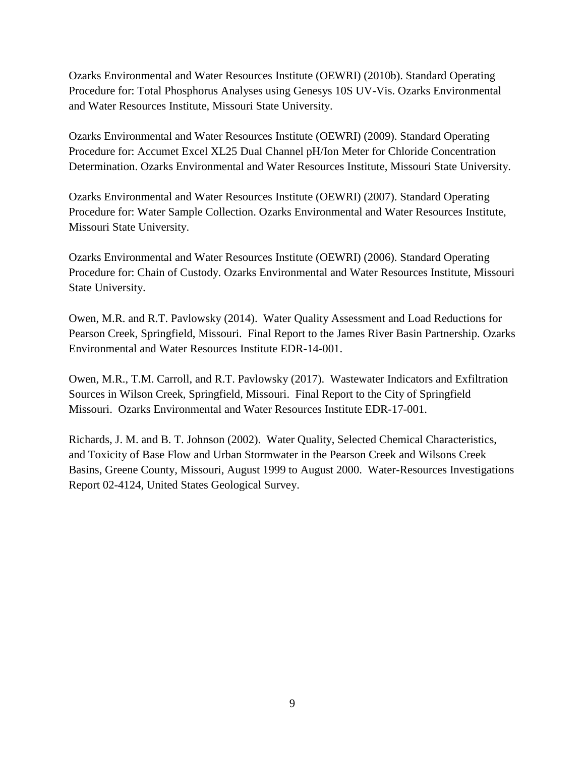Ozarks Environmental and Water Resources Institute (OEWRI) (2010b). Standard Operating Procedure for: Total Phosphorus Analyses using Genesys 10S UV-Vis. Ozarks Environmental and Water Resources Institute, Missouri State University.

Ozarks Environmental and Water Resources Institute (OEWRI) (2009). Standard Operating Procedure for: Accumet Excel XL25 Dual Channel pH/Ion Meter for Chloride Concentration Determination. Ozarks Environmental and Water Resources Institute, Missouri State University.

Ozarks Environmental and Water Resources Institute (OEWRI) (2007). Standard Operating Procedure for: Water Sample Collection. Ozarks Environmental and Water Resources Institute, Missouri State University.

Ozarks Environmental and Water Resources Institute (OEWRI) (2006). Standard Operating Procedure for: Chain of Custody. Ozarks Environmental and Water Resources Institute, Missouri State University.

Owen, M.R. and R.T. Pavlowsky (2014). Water Quality Assessment and Load Reductions for Pearson Creek, Springfield, Missouri. Final Report to the James River Basin Partnership. Ozarks Environmental and Water Resources Institute EDR-14-001.

Owen, M.R., T.M. Carroll, and R.T. Pavlowsky (2017). Wastewater Indicators and Exfiltration Sources in Wilson Creek, Springfield, Missouri. Final Report to the City of Springfield Missouri. Ozarks Environmental and Water Resources Institute EDR-17-001.

Richards, J. M. and B. T. Johnson (2002). Water Quality, Selected Chemical Characteristics, and Toxicity of Base Flow and Urban Stormwater in the Pearson Creek and Wilsons Creek Basins, Greene County, Missouri, August 1999 to August 2000. Water-Resources Investigations Report 02-4124, United States Geological Survey.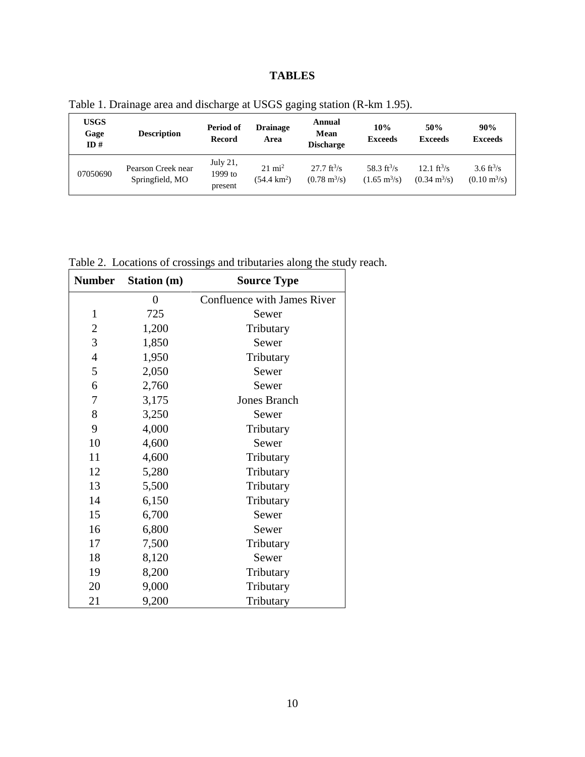# **TABLES**

| USGS<br>Gage<br>ID# | <b>Description</b>                    | Period of<br><b>Drainage</b><br><b>Record</b><br>Area |                                            | Annual<br>Mean<br><b>Discharge</b>                            | 10%<br><b>Exceeds</b>                              | 50%<br><b>Exceeds</b>                                         | 90%<br><b>Exceeds</b>                                   |
|---------------------|---------------------------------------|-------------------------------------------------------|--------------------------------------------|---------------------------------------------------------------|----------------------------------------------------|---------------------------------------------------------------|---------------------------------------------------------|
| 07050690            | Pearson Creek near<br>Springfield, MO | July $21$ ,<br>1999 to<br>present                     | $21 \text{ mi}^2$<br>$(54.4 \text{ km}^2)$ | $27.7 \text{ ft}^3\text{/s}$<br>$(0.78 \text{ m}^3/\text{s})$ | 58.3 $\rm ft^3/s$<br>$(1.65 \text{ m}^3/\text{s})$ | $12.1 \text{ ft}^3\text{/s}$<br>$(0.34 \text{ m}^3/\text{s})$ | 3.6 ft <sup>3</sup> /s<br>$(0.10 \text{ m}^3/\text{s})$ |

Table 1. Drainage area and discharge at USGS gaging station (R-km 1.95).

Table 2. Locations of crossings and tributaries along the study reach.

| <b>Number</b>    | Station (m)    | <b>Source Type</b>          |
|------------------|----------------|-----------------------------|
|                  | $\overline{0}$ | Confluence with James River |
| $\mathbf{1}$     | 725            | Sewer                       |
| $\overline{c}$   | 1,200          | Tributary                   |
| 3                | 1,850          | Sewer                       |
| $\overline{4}$   | 1,950          | Tributary                   |
| 5                | 2,050          | Sewer                       |
| 6                | 2,760          | Sewer                       |
| $\boldsymbol{7}$ | 3,175          | <b>Jones Branch</b>         |
| 8                | 3,250          | Sewer                       |
| 9                | 4,000          | Tributary                   |
| 10               | 4,600          | Sewer                       |
| 11               | 4,600          | Tributary                   |
| 12               | 5,280          | Tributary                   |
| 13               | 5,500          | Tributary                   |
| 14               | 6,150          | Tributary                   |
| 15               | 6,700          | Sewer                       |
| 16               | 6,800          | Sewer                       |
| $17\,$           | 7,500          | Tributary                   |
| 18               | 8,120          | Sewer                       |
| 19               | 8,200          | Tributary                   |
| 20               | 9,000          | Tributary                   |
| 21               | 9,200          | Tributary                   |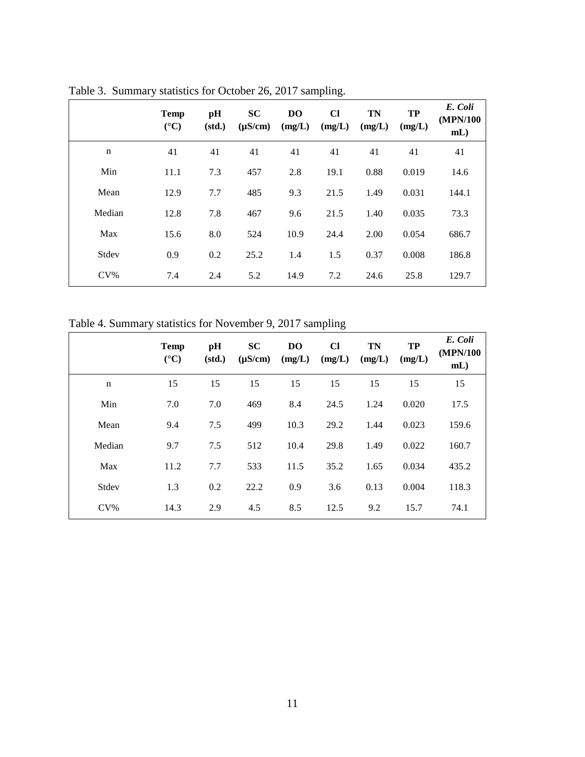|             | <b>Temp</b><br>$({}^{\circ}C)$ | pH<br>(std.) | <b>SC</b><br>$(\mu S/cm)$ | <b>DO</b><br>(mg/L) | $CI$<br>(mg/L) | <b>TN</b><br>(mg/L) | <b>TP</b><br>(mg/L) | E. Coli<br>(MPN/100)<br>$mL$ ) |
|-------------|--------------------------------|--------------|---------------------------|---------------------|----------------|---------------------|---------------------|--------------------------------|
| $\mathbf n$ | 41                             | 41           | 41                        | 41                  | 41             | 41                  | 41                  | 41                             |
| Min         | 11.1                           | 7.3          | 457                       | 2.8                 | 19.1           | 0.88                | 0.019               | 14.6                           |
| Mean        | 12.9                           | 7.7          | 485                       | 9.3                 | 21.5           | 1.49                | 0.031               | 144.1                          |
| Median      | 12.8                           | 7.8          | 467                       | 9.6                 | 21.5           | 1.40                | 0.035               | 73.3                           |
| Max         | 15.6                           | 8.0          | 524                       | 10.9                | 24.4           | 2.00                | 0.054               | 686.7                          |
| Stdev       | 0.9                            | 0.2          | 25.2                      | 1.4                 | 1.5            | 0.37                | 0.008               | 186.8                          |
| $CV\%$      | 7.4                            | 2.4          | 5.2                       | 14.9                | 7.2            | 24.6                | 25.8                | 129.7                          |

Table 3. Summary statistics for October 26, 2017 sampling.

Table 4. Summary statistics for November 9, 2017 sampling

|             | <b>Temp</b><br>$({}^{\circ}C)$ | pH<br>(std.) | <b>SC</b><br>$(\mu S/cm)$ | D <sub>O</sub><br>(mg/L) | $CI$<br>(mg/L) | <b>TN</b><br>(mg/L) | <b>TP</b><br>(mg/L) | E. Coli<br>(MPN/100<br>$mL$ ) |
|-------------|--------------------------------|--------------|---------------------------|--------------------------|----------------|---------------------|---------------------|-------------------------------|
| $\mathbf n$ | 15                             | 15           | 15                        | 15                       | 15             | 15                  | 15                  | 15                            |
| Min         | 7.0                            | 7.0          | 469                       | 8.4                      | 24.5           | 1.24                | 0.020               | 17.5                          |
| Mean        | 9.4                            | 7.5          | 499                       | 10.3                     | 29.2           | 1.44                | 0.023               | 159.6                         |
| Median      | 9.7                            | 7.5          | 512                       | 10.4                     | 29.8           | 1.49                | 0.022               | 160.7                         |
| Max         | 11.2                           | 7.7          | 533                       | 11.5                     | 35.2           | 1.65                | 0.034               | 435.2                         |
| Stdev       | 1.3                            | 0.2          | 22.2                      | 0.9                      | 3.6            | 0.13                | 0.004               | 118.3                         |
| $CV\%$      | 14.3                           | 2.9          | 4.5                       | 8.5                      | 12.5           | 9.2                 | 15.7                | 74.1                          |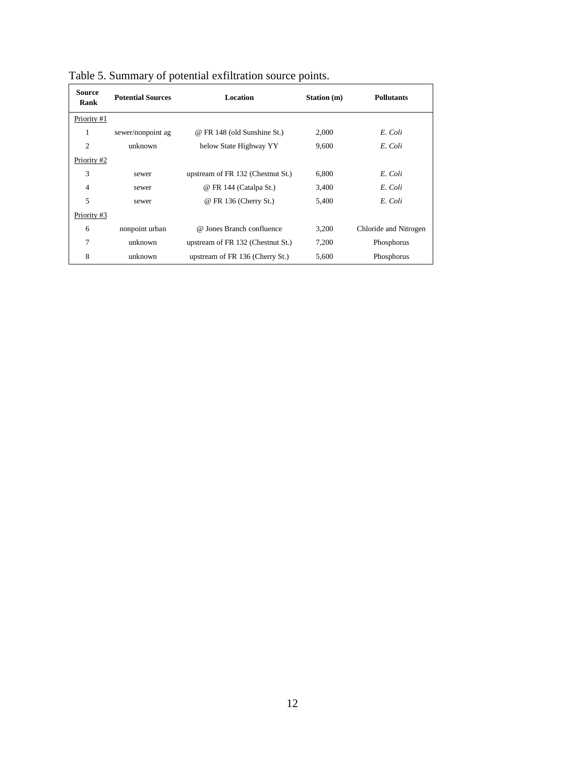| <b>Source</b><br>Rank | <b>Potential Sources</b> | Location                          | Station (m) | <b>Pollutants</b>     |
|-----------------------|--------------------------|-----------------------------------|-------------|-----------------------|
| Priority #1           |                          |                                   |             |                       |
| 1                     | sewer/nonpoint ag        | @ FR 148 (old Sunshine St.)       | 2,000       | E. Coli               |
| $\overline{2}$        | unknown                  | below State Highway YY            | 9,600       | E. Coli               |
| Priority #2           |                          |                                   |             |                       |
| 3                     | sewer                    | upstream of FR 132 (Chestnut St.) | 6,800       | E. Coli               |
| $\overline{4}$        | sewer                    | @ FR 144 (Catalpa St.)            | 3,400       | E. Coli               |
| 5                     | sewer                    | @ FR 136 (Cherry St.)             | 5,400       | E. Coli               |
| Priority #3           |                          |                                   |             |                       |
| 6                     | nonpoint urban           | @ Jones Branch confluence         | 3,200       | Chloride and Nitrogen |
| 7                     | unknown                  | upstream of FR 132 (Chestnut St.) | 7,200       | Phosphorus            |
| 8                     | unknown                  | upstream of FR 136 (Cherry St.)   | 5,600       | Phosphorus            |

Table 5. Summary of potential exfiltration source points.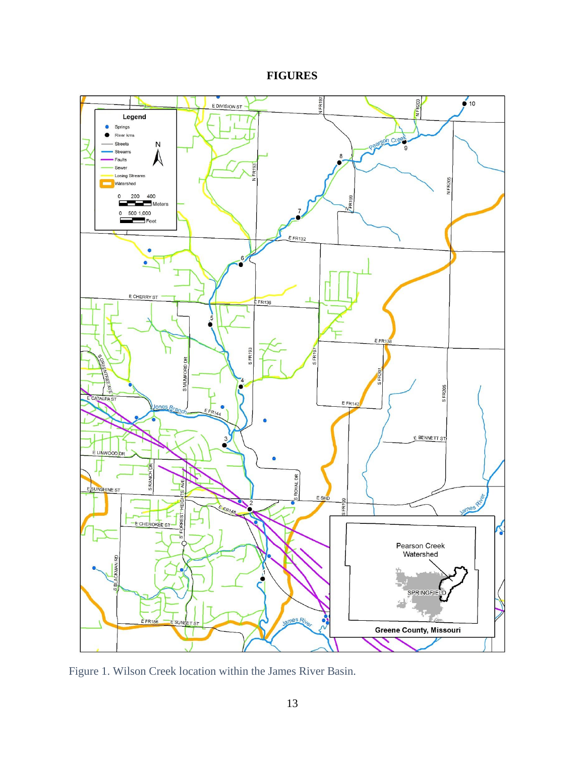**FIGURES**



Figure 1. Wilson Creek location within the James River Basin.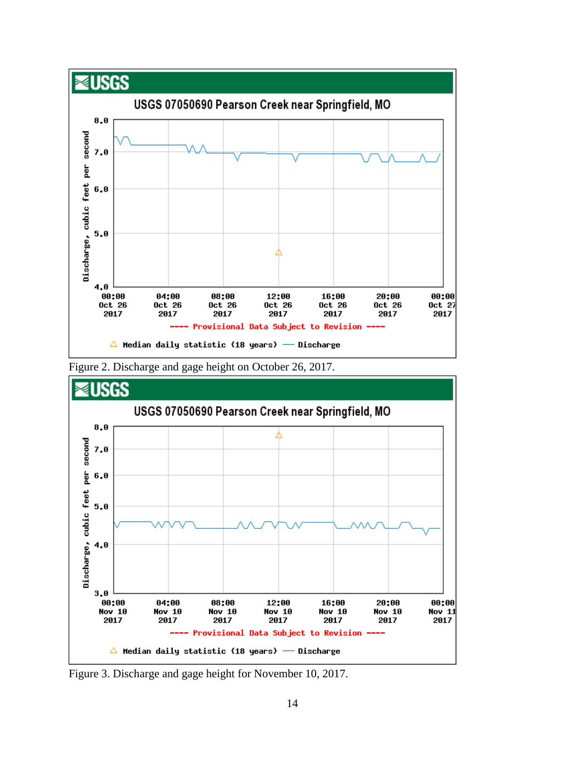





Figure 3. Discharge and gage height for November 10, 2017.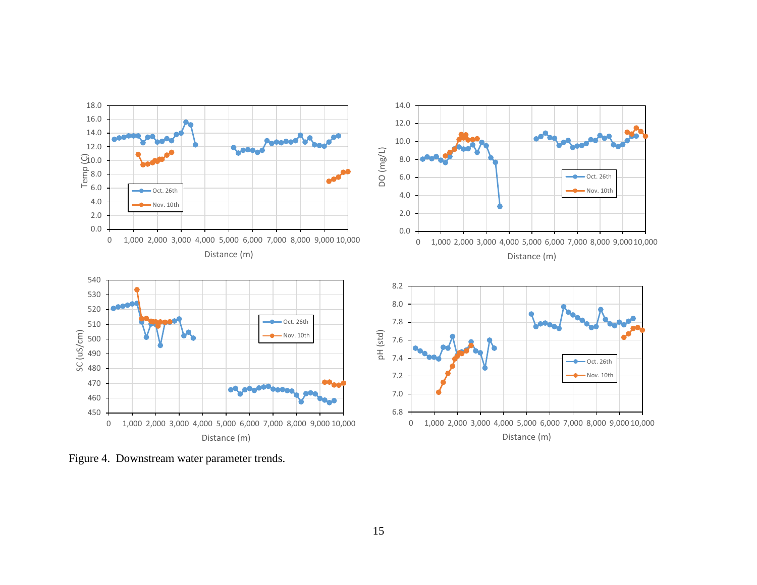

Figure 4. Downstream water parameter trends.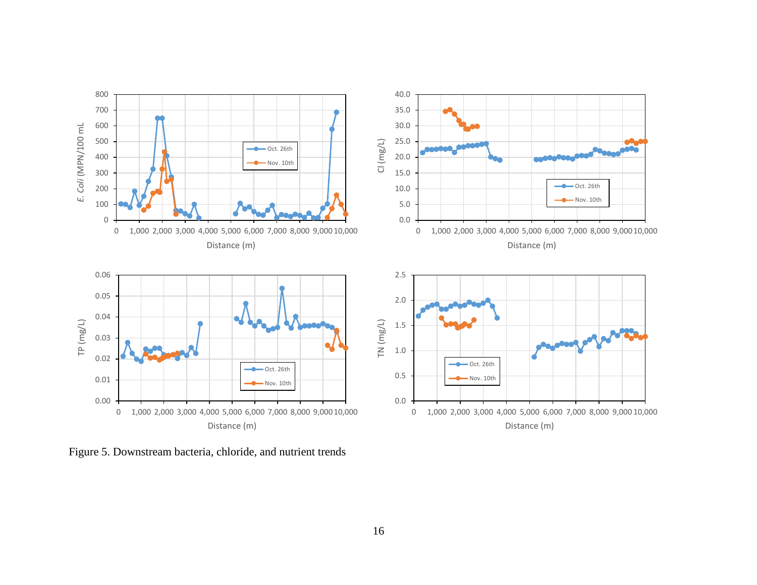

Figure 5. Downstream bacteria, chloride, and nutrient trends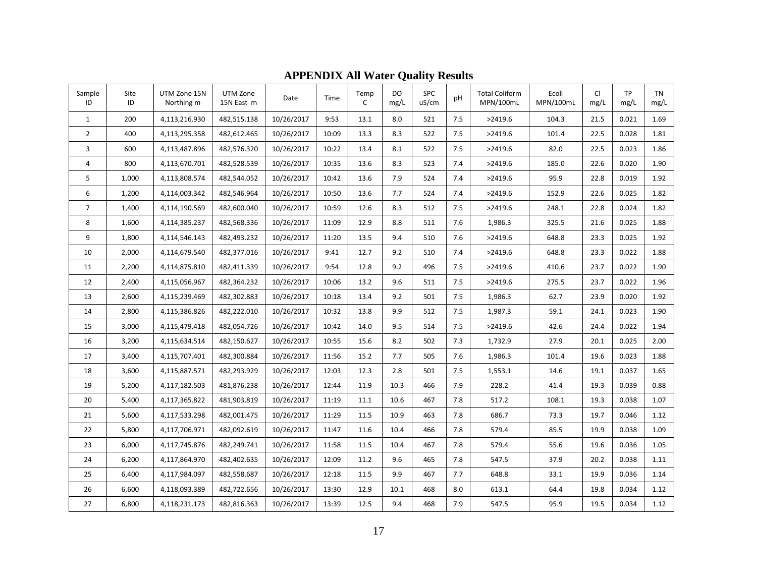| Sample<br>ID   | Site<br>ID | UTM Zone 15N<br>Northing m | UTM Zone<br>15N East m | Date       | Time  | Temp<br>$\mathsf{C}$ | <b>DO</b><br>mg/L | <b>SPC</b><br>uS/cm | pH  | <b>Total Coliform</b><br>MPN/100mL | Ecoli<br>MPN/100mL | <b>CI</b><br>mg/L | <b>TP</b><br>mg/L | <b>TN</b><br>mg/L |
|----------------|------------|----------------------------|------------------------|------------|-------|----------------------|-------------------|---------------------|-----|------------------------------------|--------------------|-------------------|-------------------|-------------------|
| $\mathbf{1}$   | 200        | 4,113,216.930              | 482,515.138            | 10/26/2017 | 9:53  | 13.1                 | 8.0               | 521                 | 7.5 | >2419.6                            | 104.3              | 21.5              | 0.021             | 1.69              |
| $\overline{2}$ | 400        | 4,113,295.358              | 482,612.465            | 10/26/2017 | 10:09 | 13.3                 | 8.3               | 522                 | 7.5 | >2419.6                            | 101.4              | 22.5              | 0.028             | 1.81              |
| 3              | 600        | 4,113,487.896              | 482,576.320            | 10/26/2017 | 10:22 | 13.4                 | 8.1               | 522                 | 7.5 | >2419.6                            | 82.0               | 22.5              | 0.023             | 1.86              |
| 4              | 800        | 4,113,670.701              | 482,528.539            | 10/26/2017 | 10:35 | 13.6                 | 8.3               | 523                 | 7.4 | >2419.6                            | 185.0              | 22.6              | 0.020             | 1.90              |
| 5              | 1,000      | 4,113,808.574              | 482,544.052            | 10/26/2017 | 10:42 | 13.6                 | 7.9               | 524                 | 7.4 | >2419.6                            | 95.9               | 22.8              | 0.019             | 1.92              |
| 6              | 1,200      | 4,114,003.342              | 482,546.964            | 10/26/2017 | 10:50 | 13.6                 | 7.7               | 524                 | 7.4 | >2419.6                            | 152.9              | 22.6              | 0.025             | 1.82              |
| $\overline{7}$ | 1,400      | 4,114,190.569              | 482,600.040            | 10/26/2017 | 10:59 | 12.6                 | 8.3               | 512                 | 7.5 | >2419.6                            | 248.1              | 22.8              | 0.024             | 1.82              |
| 8              | 1,600      | 4,114,385.237              | 482,568.336            | 10/26/2017 | 11:09 | 12.9                 | 8.8               | 511                 | 7.6 | 1,986.3                            | 325.5              | 21.6              | 0.025             | 1.88              |
| 9              | 1,800      | 4,114,546.143              | 482,493.232            | 10/26/2017 | 11:20 | 13.5                 | 9.4               | 510                 | 7.6 | >2419.6                            | 648.8              | 23.3              | 0.025             | 1.92              |
| 10             | 2,000      | 4,114,679.540              | 482,377.016            | 10/26/2017 | 9:41  | 12.7                 | 9.2               | 510                 | 7.4 | >2419.6                            | 648.8              | 23.3              | 0.022             | 1.88              |
| 11             | 2,200      | 4,114,875.810              | 482,411.339            | 10/26/2017 | 9:54  | 12.8                 | 9.2               | 496                 | 7.5 | >2419.6                            | 410.6              | 23.7              | 0.022             | 1.90              |
| 12             | 2,400      | 4,115,056.967              | 482,364.232            | 10/26/2017 | 10:06 | 13.2                 | 9.6               | 511                 | 7.5 | >2419.6                            | 275.5              | 23.7              | 0.022             | 1.96              |
| 13             | 2,600      | 4,115,239.469              | 482,302.883            | 10/26/2017 | 10:18 | 13.4                 | 9.2               | 501                 | 7.5 | 1,986.3                            | 62.7               | 23.9              | 0.020             | 1.92              |
| 14             | 2,800      | 4,115,386.826              | 482,222.010            | 10/26/2017 | 10:32 | 13.8                 | 9.9               | 512                 | 7.5 | 1,987.3                            | 59.1               | 24.1              | 0.023             | 1.90              |
| 15             | 3,000      | 4,115,479.418              | 482,054.726            | 10/26/2017 | 10:42 | 14.0                 | 9.5               | 514                 | 7.5 | >2419.6                            | 42.6               | 24.4              | 0.022             | 1.94              |
| 16             | 3,200      | 4,115,634.514              | 482,150.627            | 10/26/2017 | 10:55 | 15.6                 | 8.2               | 502                 | 7.3 | 1,732.9                            | 27.9               | 20.1              | 0.025             | 2.00              |
| 17             | 3,400      | 4,115,707.401              | 482,300.884            | 10/26/2017 | 11:56 | 15.2                 | 7.7               | 505                 | 7.6 | 1,986.3                            | 101.4              | 19.6              | 0.023             | 1.88              |
| 18             | 3,600      | 4,115,887.571              | 482,293.929            | 10/26/2017 | 12:03 | 12.3                 | 2.8               | 501                 | 7.5 | 1,553.1                            | 14.6               | 19.1              | 0.037             | 1.65              |
| 19             | 5,200      | 4,117,182.503              | 481,876.238            | 10/26/2017 | 12:44 | 11.9                 | 10.3              | 466                 | 7.9 | 228.2                              | 41.4               | 19.3              | 0.039             | 0.88              |
| 20             | 5,400      | 4,117,365.822              | 481,903.819            | 10/26/2017 | 11:19 | 11.1                 | 10.6              | 467                 | 7.8 | 517.2                              | 108.1              | 19.3              | 0.038             | 1.07              |
| 21             | 5,600      | 4,117,533.298              | 482,001.475            | 10/26/2017 | 11:29 | 11.5                 | 10.9              | 463                 | 7.8 | 686.7                              | 73.3               | 19.7              | 0.046             | 1.12              |
| 22             | 5,800      | 4,117,706.971              | 482.092.619            | 10/26/2017 | 11:47 | 11.6                 | 10.4              | 466                 | 7.8 | 579.4                              | 85.5               | 19.9              | 0.038             | 1.09              |
| 23             | 6,000      | 4,117,745.876              | 482,249.741            | 10/26/2017 | 11:58 | 11.5                 | 10.4              | 467                 | 7.8 | 579.4                              | 55.6               | 19.6              | 0.036             | 1.05              |
| 24             | 6,200      | 4,117,864.970              | 482,402.635            | 10/26/2017 | 12:09 | 11.2                 | 9.6               | 465                 | 7.8 | 547.5                              | 37.9               | 20.2              | 0.038             | 1.11              |
| 25             | 6,400      | 4,117,984.097              | 482,558.687            | 10/26/2017 | 12:18 | 11.5                 | 9.9               | 467                 | 7.7 | 648.8                              | 33.1               | 19.9              | 0.036             | 1.14              |
| 26             | 6,600      | 4,118,093.389              | 482,722.656            | 10/26/2017 | 13:30 | 12.9                 | 10.1              | 468                 | 8.0 | 613.1                              | 64.4               | 19.8              | 0.034             | 1.12              |
| 27             | 6,800      | 4,118,231.173              | 482,816.363            | 10/26/2017 | 13:39 | 12.5                 | 9.4               | 468                 | 7.9 | 547.5                              | 95.9               | 19.5              | 0.034             | 1.12              |

**APPENDIX All Water Quality Results**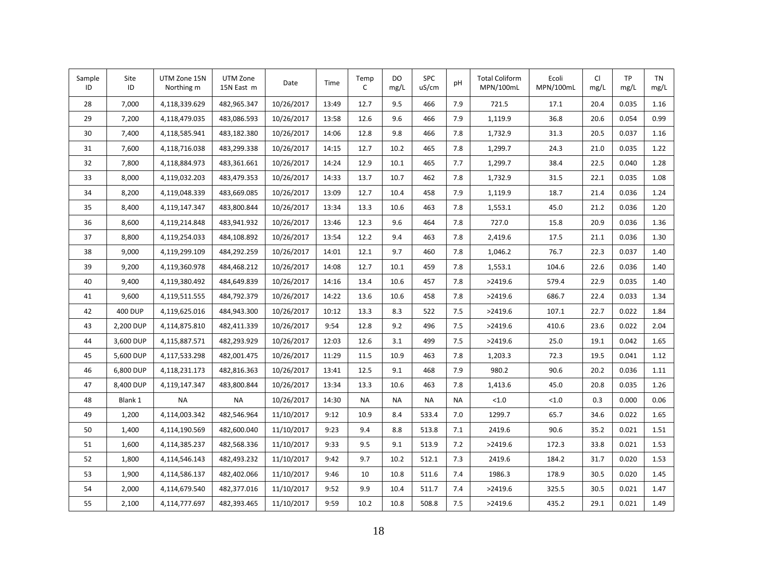| Sample<br>ID | Site<br>ID     | UTM Zone 15N<br>Northing m | UTM Zone<br>15N East m | Date       | Time  | Temp<br>C | DO<br>mg/L | SPC<br>uS/cm | pH  | <b>Total Coliform</b><br>MPN/100mL | Ecoli<br>MPN/100mL | CI<br>mg/L | <b>TP</b><br>mg/L | <b>TN</b><br>mg/L |
|--------------|----------------|----------------------------|------------------------|------------|-------|-----------|------------|--------------|-----|------------------------------------|--------------------|------------|-------------------|-------------------|
| 28           | 7,000          | 4,118,339.629              | 482,965.347            | 10/26/2017 | 13:49 | 12.7      | 9.5        | 466          | 7.9 | 721.5                              | 17.1               | 20.4       | 0.035             | 1.16              |
| 29           | 7,200          | 4,118,479.035              | 483,086.593            | 10/26/2017 | 13:58 | 12.6      | 9.6        | 466          | 7.9 | 1,119.9                            | 36.8               | 20.6       | 0.054             | 0.99              |
| 30           | 7,400          | 4,118,585.941              | 483,182.380            | 10/26/2017 | 14:06 | 12.8      | 9.8        | 466          | 7.8 | 1,732.9                            | 31.3               | 20.5       | 0.037             | 1.16              |
| 31           | 7,600          | 4,118,716.038              | 483,299.338            | 10/26/2017 | 14:15 | 12.7      | 10.2       | 465          | 7.8 | 1,299.7                            | 24.3               | 21.0       | 0.035             | 1.22              |
| 32           | 7,800          | 4,118,884.973              | 483,361.661            | 10/26/2017 | 14:24 | 12.9      | 10.1       | 465          | 7.7 | 1,299.7                            | 38.4               | 22.5       | 0.040             | 1.28              |
| 33           | 8,000          | 4,119,032.203              | 483,479.353            | 10/26/2017 | 14:33 | 13.7      | 10.7       | 462          | 7.8 | 1,732.9                            | 31.5               | 22.1       | 0.035             | 1.08              |
| 34           | 8,200          | 4,119,048.339              | 483,669.085            | 10/26/2017 | 13:09 | 12.7      | 10.4       | 458          | 7.9 | 1,119.9                            | 18.7               | 21.4       | 0.036             | 1.24              |
| 35           | 8,400          | 4,119,147.347              | 483,800.844            | 10/26/2017 | 13:34 | 13.3      | 10.6       | 463          | 7.8 | 1,553.1                            | 45.0               | 21.2       | 0.036             | 1.20              |
| 36           | 8,600          | 4,119,214.848              | 483,941.932            | 10/26/2017 | 13:46 | 12.3      | 9.6        | 464          | 7.8 | 727.0                              | 15.8               | 20.9       | 0.036             | 1.36              |
| 37           | 8,800          | 4,119,254.033              | 484,108.892            | 10/26/2017 | 13:54 | 12.2      | 9.4        | 463          | 7.8 | 2,419.6                            | 17.5               | 21.1       | 0.036             | 1.30              |
| 38           | 9,000          | 4,119,299.109              | 484,292.259            | 10/26/2017 | 14:01 | 12.1      | 9.7        | 460          | 7.8 | 1,046.2                            | 76.7               | 22.3       | 0.037             | 1.40              |
| 39           | 9,200          | 4,119,360.978              | 484,468.212            | 10/26/2017 | 14:08 | 12.7      | 10.1       | 459          | 7.8 | 1,553.1                            | 104.6              | 22.6       | 0.036             | 1.40              |
| 40           | 9,400          | 4,119,380.492              | 484,649.839            | 10/26/2017 | 14:16 | 13.4      | 10.6       | 457          | 7.8 | >2419.6                            | 579.4              | 22.9       | 0.035             | 1.40              |
| 41           | 9,600          | 4,119,511.555              | 484,792.379            | 10/26/2017 | 14:22 | 13.6      | 10.6       | 458          | 7.8 | >2419.6                            | 686.7              | 22.4       | 0.033             | 1.34              |
| 42           | <b>400 DUP</b> | 4,119,625.016              | 484,943.300            | 10/26/2017 | 10:12 | 13.3      | 8.3        | 522          | 7.5 | >2419.6                            | 107.1              | 22.7       | 0.022             | 1.84              |
| 43           | 2,200 DUP      | 4,114,875.810              | 482,411.339            | 10/26/2017 | 9:54  | 12.8      | 9.2        | 496          | 7.5 | >2419.6                            | 410.6              | 23.6       | 0.022             | 2.04              |
| 44           | 3,600 DUP      | 4,115,887.571              | 482,293.929            | 10/26/2017 | 12:03 | 12.6      | 3.1        | 499          | 7.5 | >2419.6                            | 25.0               | 19.1       | 0.042             | 1.65              |
| 45           | 5,600 DUP      | 4,117,533.298              | 482,001.475            | 10/26/2017 | 11:29 | 11.5      | 10.9       | 463          | 7.8 | 1,203.3                            | 72.3               | 19.5       | 0.041             | 1.12              |
| 46           | 6,800 DUP      | 4,118,231.173              | 482,816.363            | 10/26/2017 | 13:41 | 12.5      | 9.1        | 468          | 7.9 | 980.2                              | 90.6               | 20.2       | 0.036             | 1.11              |
| 47           | 8,400 DUP      | 4,119,147.347              | 483,800.844            | 10/26/2017 | 13:34 | 13.3      | 10.6       | 463          | 7.8 | 1,413.6                            | 45.0               | 20.8       | 0.035             | 1.26              |
| 48           | Blank 1        | <b>NA</b>                  | <b>NA</b>              | 10/26/2017 | 14:30 | <b>NA</b> | <b>NA</b>  | <b>NA</b>    | NA  | < 1.0                              | < 1.0              | 0.3        | 0.000             | 0.06              |
| 49           | 1,200          | 4,114,003.342              | 482,546.964            | 11/10/2017 | 9:12  | 10.9      | 8.4        | 533.4        | 7.0 | 1299.7                             | 65.7               | 34.6       | 0.022             | 1.65              |
| 50           | 1,400          | 4,114,190.569              | 482,600.040            | 11/10/2017 | 9:23  | 9.4       | 8.8        | 513.8        | 7.1 | 2419.6                             | 90.6               | 35.2       | 0.021             | 1.51              |
| 51           | 1,600          | 4,114,385.237              | 482,568.336            | 11/10/2017 | 9:33  | 9.5       | 9.1        | 513.9        | 7.2 | >2419.6                            | 172.3              | 33.8       | 0.021             | 1.53              |
| 52           | 1,800          | 4,114,546.143              | 482,493.232            | 11/10/2017 | 9:42  | 9.7       | 10.2       | 512.1        | 7.3 | 2419.6                             | 184.2              | 31.7       | 0.020             | 1.53              |
| 53           | 1,900          | 4,114,586.137              | 482,402.066            | 11/10/2017 | 9:46  | 10        | 10.8       | 511.6        | 7.4 | 1986.3                             | 178.9              | 30.5       | 0.020             | 1.45              |
| 54           | 2,000          | 4,114,679.540              | 482,377.016            | 11/10/2017 | 9:52  | 9.9       | 10.4       | 511.7        | 7.4 | >2419.6                            | 325.5              | 30.5       | 0.021             | 1.47              |
| 55           | 2,100          | 4,114,777.697              | 482,393.465            | 11/10/2017 | 9:59  | 10.2      | 10.8       | 508.8        | 7.5 | >2419.6                            | 435.2              | 29.1       | 0.021             | 1.49              |